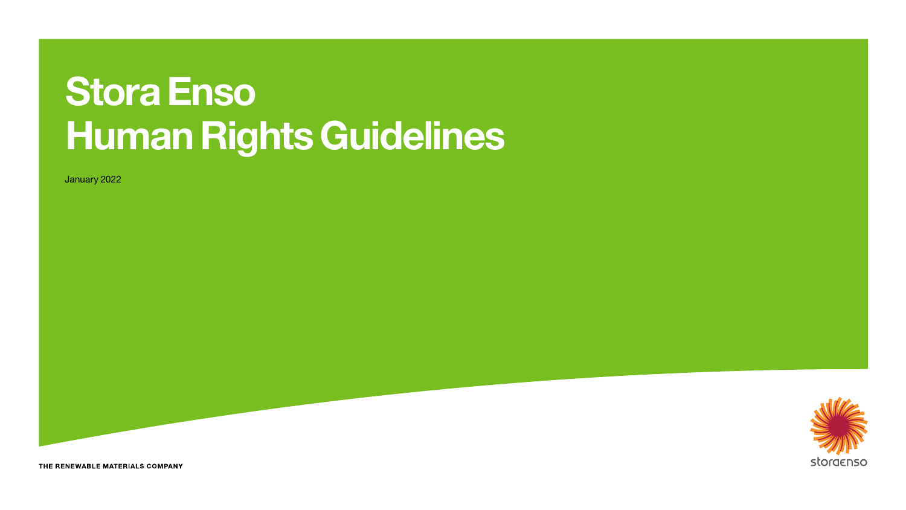# Stora Enso Human Rights Guidelines

January 2022



THE RENEWABLE MATERIALS COMPANY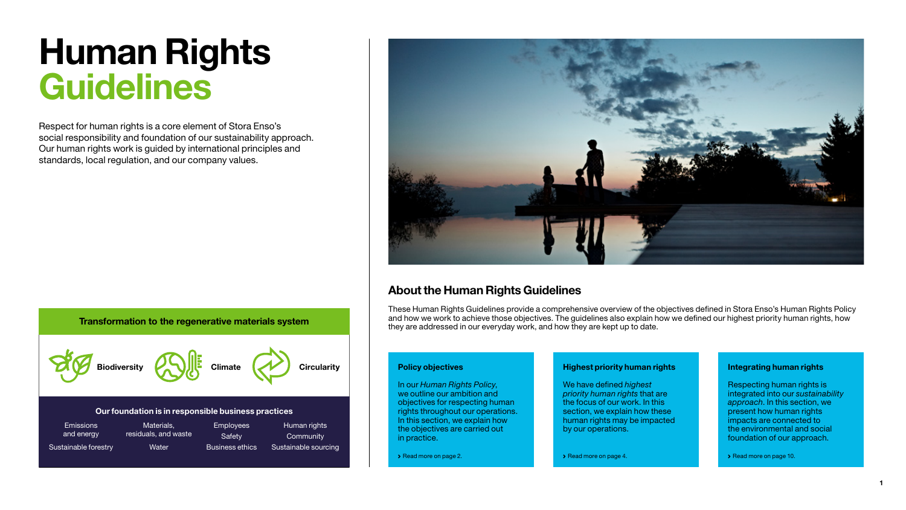# Human Rights **Guidelines**

Respect for human rights is a core element of Stora Enso's social responsibility and foundation of our sustainability approach. Our human rights work is guided by international principles and standards, local regulation, and our company values.



### About the Human Rights Guidelines

These Human Rights Guidelines provide a comprehensive overview of the objectives defined in Stora Enso's Human Rights Policy and how we work to achieve those objectives. The guidelines also explain how we defined our highest priority human rights, how they are addressed in our everyday work, and how they are kept up to date.

#### Biodiversity  $\left\{\right\}$  UII Climate  $\left\{\right\}$  Circularity Human rights **Community** Sustainable sourcing Emissions and energy Sustainable forestry Materials, residuals, and waste **Water** Employees **Safety** Business ethics Our foundation is in responsible business practices

### Policy objectives

In our *Human Rights Policy*, we outline our ambition and objectives for respecting human rights throughout our operations. In this section, we explain how the objectives are carried out in practice.

[Read more on page 2.](#page-2-0)

### Highest priority human rights

We have defined *highest priority human rights* that are the focus of our work. In this section, we explain how these human rights may be impacted by our operations.

▶ [Read more on page 4.](#page-4-0)

#### Integrating human rights

Respecting human rights is integrated into our *sustainability approach*. In this section, we present how human rights impacts are connected to the environmental and social foundation of our approach.

▶ [Read more on page 10.](#page-10-0)

Transformation to the regenerative materials system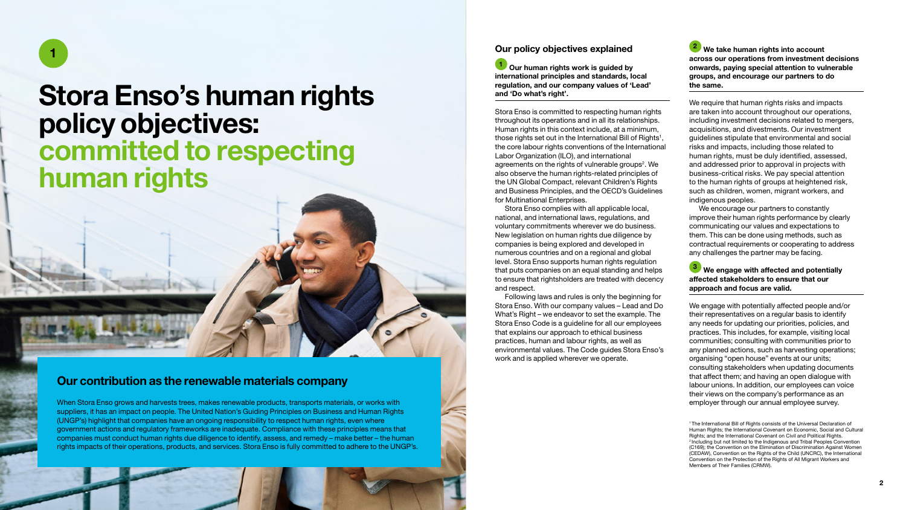<span id="page-2-0"></span>1

## Stora Enso's human rights policy objectives: committed to respecting human rights

### Our contribution as the renewable materials company

When Stora Enso grows and harvests trees, makes renewable products, transports materials, or works with suppliers, it has an impact on people. The United Nation's Guiding Principles on Business and Human Rights (UNGP's) highlight that companies have an ongoing responsibility to respect human rights, even where government actions and regulatory frameworks are inadequate. Compliance with these principles means that companies must conduct human rights due diligence to identify, assess, and remedy – make better – the human rights impacts of their operations, products, and services. Stora Enso is fully committed to adhere to the UNGP's.

### Our policy objectives explained

1 Our human rights work is guided by international principles and standards, local regulation, and our company values of 'Lead' and 'Do what's right'.

Stora Enso is committed to respecting human rights throughout its operations and in all its relationships. Human rights in this context include, at a minimum, those rights set out in the International Bill of Rights<sup>1</sup>, the core labour rights conventions of the International Labor Organization (ILO), and international agreements on the rights of vulnerable groups<sup>2</sup>. We also observe the human rights-related principles of the UN Global Compact, relevant Children's Rights and Business Principles, and the OECD's Guidelines for Multinational Enterprises.

Stora Enso complies with all applicable local, national, and international laws, regulations, and voluntary commitments wherever we do business. New legislation on human rights due diligence by companies is being explored and developed in numerous countries and on a regional and global level. Stora Enso supports human rights regulation that puts companies on an equal standing and helps to ensure that rightsholders are treated with decency and respect.

Following laws and rules is only the beginning for Stora Enso. With our company values – Lead and Do What's Right – we endeavor to set the example. The Stora Enso Code is a guideline for all our employees that explains our approach to ethical business practices, human and labour rights, as well as environmental values. The Code guides Stora Enso's work and is applied wherever we operate.

<sup>2</sup> We take human rights into account across our operations from investment decisions onwards, paying special attention to vulnerable groups, and encourage our partners to do the same.

We require that human rights risks and impacts are taken into account throughout our operations, including investment decisions related to mergers, acquisitions, and divestments. Our investment guidelines stipulate that environmental and social risks and impacts, including those related to human rights, must be duly identified, assessed, and addressed prior to approval in projects with business-critical risks. We pay special attention to the human rights of groups at heightened risk, such as children, women, migrant workers, and indigenous peoples.

We encourage our partners to constantly improve their human rights performance by clearly communicating our values and expectations to them. This can be done using methods, such as contractual requirements or cooperating to address any challenges the partner may be facing.

<sup>3</sup> We engage with affected and potentially affected stakeholders to ensure that our approach and focus are valid.

We engage with potentially affected people and/or their representatives on a regular basis to identify any needs for updating our priorities, policies, and practices. This includes, for example, visiting local communities; consulting with communities prior to any planned actions, such as harvesting operations; organising "open house" events at our units; consulting stakeholders when updating documents that affect them; and having an open dialogue with labour unions. In addition, our employees can voice their views on the company's performance as an employer through our annual employee survey.

<sup>1</sup> The International Bill of Rights consists of the Universal Declaration of Human Rights; the International Covenant on Economic, Social and Cultural Rights; and the International Covenant on Civil and Political Rights. <sup>2</sup> Including but not limited to the Indigenous and Tribal Peoples Convention (C169); the Convention on the Elimination of Discrimination Against Women (CEDAW), Convention on the Rights of the Child (UNCRC), the International Convention on the Protection of the Rights of All Migrant Workers and Members of Their Families (CRMW).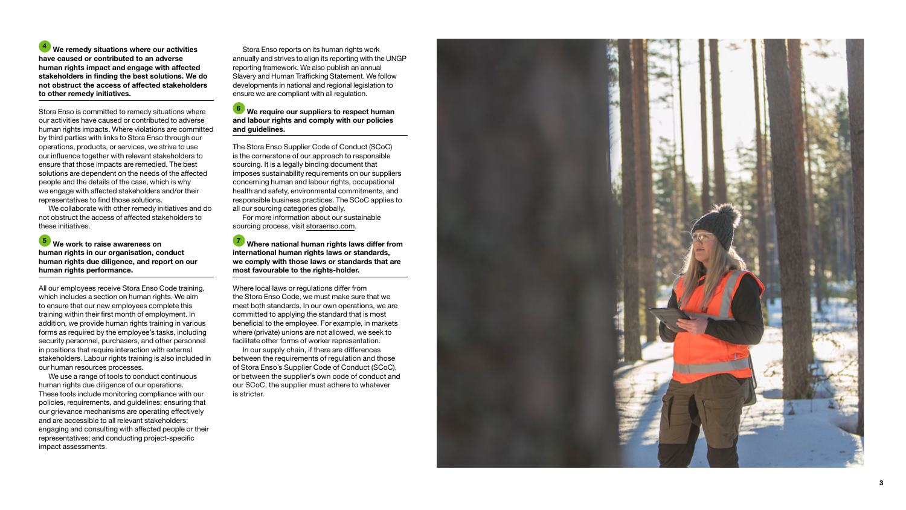4 We remedy situations where our activities have caused or contributed to an adverse human rights impact and engage with affected stakeholders in finding the best solutions. We do not obstruct the access of affected stakeholders to other remedy initiatives.

Stora Enso is committed to remedy situations where our activities have caused or contributed to adverse human rights impacts. Where violations are committed by third parties with links to Stora Enso through our operations, products, or services, we strive to use our influence together with relevant stakeholders to ensure that those impacts are remedied. The best solutions are dependent on the needs of the affected people and the details of the case, which is why we engage with affected stakeholders and/or their representatives to find those solutions.

We collaborate with other remedy initiatives and do not obstruct the access of affected stakeholders to these initiatives.

**5** We work to raise awareness on human rights in our organisation, conduct human rights due diligence, and report on our human rights performance.

All our employees receive Stora Enso Code training, which includes a section on human rights. We aim to ensure that our new employees complete this training within their first month of employment. In addition, we provide human rights training in various forms as required by the employee's tasks, including security personnel, purchasers, and other personnel in positions that require interaction with external stakeholders. Labour rights training is also included in our human resources processes.

We use a range of tools to conduct continuous human rights due diligence of our operations. These tools include monitoring compliance with our policies, requirements, and guidelines; ensuring that our grievance mechanisms are operating effectively and are accessible to all relevant stakeholders; engaging and consulting with affected people or their representatives; and conducting project-specific impact assessments.

Stora Enso reports on its human rights work annually and strives to align its reporting with the UNGP reporting framework. We also publish an annual Slavery and Human Trafficking Statement. We follow developments in national and regional legislation to ensure we are compliant with all regulation.

### 6 We require our suppliers to respect human and labour rights and comply with our policies and guidelines.

The Stora Enso Supplier Code of Conduct (SCoC) is the cornerstone of our approach to responsible sourcing. It is a legally binding document that imposes sustainability requirements on our suppliers concerning human and labour rights, occupational health and safety, environmental commitments, and responsible business practices. The SCoC applies to all our sourcing categories globally.

For more information about our sustainable sourcing process, visit [storaenso.com](https://www.storaenso.com/en).

7 Where national human rights laws differ from international human rights laws or standards. we comply with those laws or standards that are most favourable to the rights-holder.

Where local laws or regulations differ from the Stora Enso Code, we must make sure that we meet both standards. In our own operations, we are committed to applying the standard that is most beneficial to the employee. For example, in markets where (private) unions are not allowed, we seek to facilitate other forms of worker representation.

In our supply chain, if there are differences between the requirements of regulation and those of Stora Enso's Supplier Code of Conduct (SCoC), or between the supplier's own code of conduct and our SCoC, the supplier must adhere to whatever is stricter.

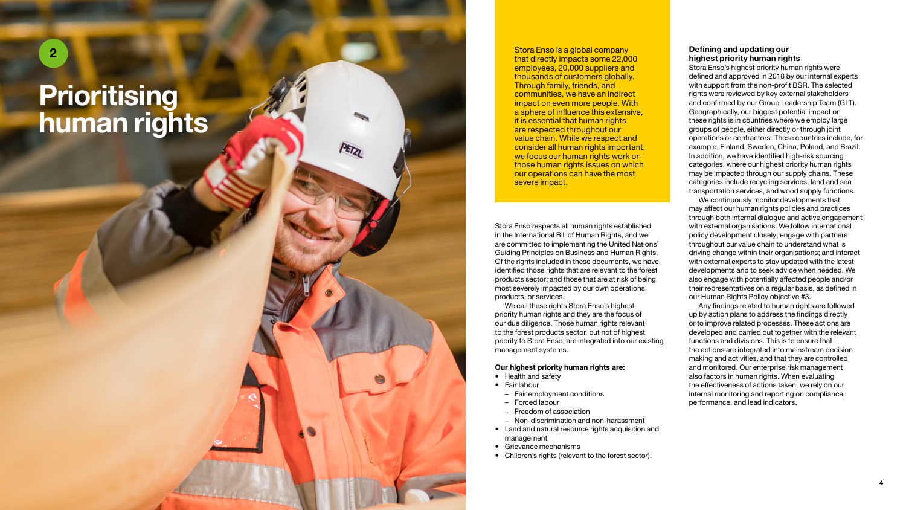# **Prioritising** human rights

<span id="page-4-0"></span>2

Stora Enso is a global company that directly impacts some 22,000 employees, 20,000 suppliers and thousands of customers globally. Through family, friends, and communities, we have an indirect impact on even more people. With a sphere of influence this extensive, it is essential that human rights are respected throughout our value chain. While we respect and consider all human rights important, we focus our human rights work on those human rights issues on which our operations can have the most severe impact.

Stora Enso respects all human rights established in the International Bill of Human Rights, and we are committed to implementing the United Nations' Guiding Principles on Business and Human Rights. Of the rights included in these documents, we have identified those rights that are relevant to the forest products sector; and those that are at risk of being most severely impacted by our own operations, products, or services.

We call these rights Stora Enso's highest priority human rights and they are the focus of our due diligence. Those human rights relevant to the forest products sector, but not of highest priority to Stora Enso, are integrated into our existing management systems.

#### Our highest priority human rights are:

- Health and safety
- Fair labour

PETZI

- Fair employment conditions
- Forced labour
- Freedom of association
- Non-discrimination and non-harassment
- Land and natural resource rights acquisition and management
- Grievance mechanisms
- Children's rights (relevant to the forest sector).

#### Defining and updating our highest priority human rights

Stora Enso's highest priority human rights were defined and approved in 2018 by our internal experts with support from the non-profit BSR. The selected rights were reviewed by key external stakeholders and confirmed by our Group Leadership Team (GLT). Geographically, our biggest potential impact on these rights is in countries where we employ large groups of people, either directly or through joint operations or contractors. These countries include, for example, Finland, Sweden, China, Poland, and Brazil. In addition, we have identified high-risk sourcing categories, where our highest priority human rights may be impacted through our supply chains. These categories include recycling services, land and sea transportation services, and wood supply functions.

We continuously monitor developments that may affect our human rights policies and practices through both internal dialogue and active engagement with external organisations. We follow international policy development closely; engage with partners throughout our value chain to understand what is driving change within their organisations; and interact with external experts to stay updated with the latest developments and to seek advice when needed. We also engage with potentially affected people and/or their representatives on a regular basis, as defined in our Human Rights Policy objective #3.

Any findings related to human rights are followed up by action plans to address the findings directly or to improve related processes. These actions are developed and carried out together with the relevant functions and divisions. This is to ensure that the actions are integrated into mainstream decision making and activities, and that they are controlled and monitored. Our enterprise risk management also factors in human rights. When evaluating the effectiveness of actions taken, we rely on our internal monitoring and reporting on compliance, performance, and lead indicators.

4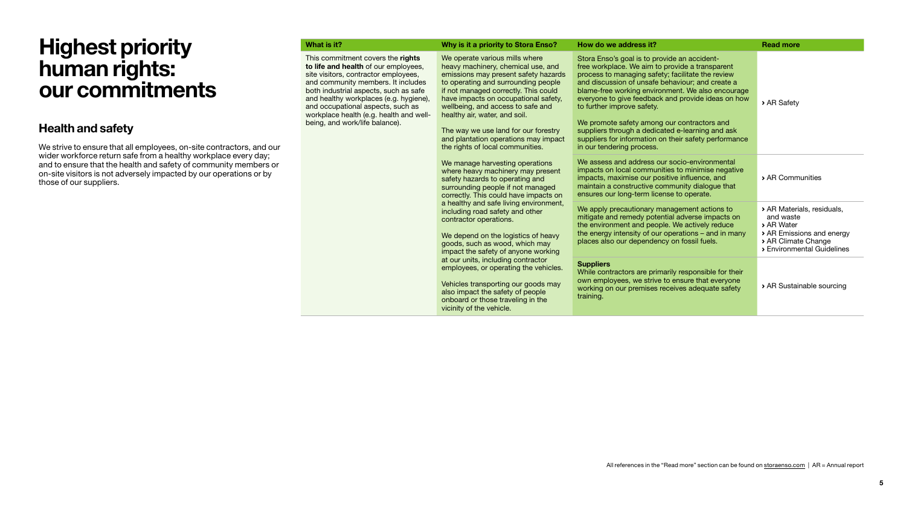### Health and safety

We strive to ensure that all employees, on-site contractors, and our wider workforce return safe from a healthy workplace every day; and to ensure that the health and safety of community members or on-site visitors is not adversely impacted by our operations or by those of our suppliers.

| What is it?                                                                                                                                                                                                                                                                                                                                                  | Why is it a priority to Stora Enso?                                                                                                                                                                                                                                                                                                                                                                                           | How do we address it?                                                                                                                                                                                                                                                                                                                                                                                                                                                                                                                      | <b>Read more</b>          |
|--------------------------------------------------------------------------------------------------------------------------------------------------------------------------------------------------------------------------------------------------------------------------------------------------------------------------------------------------------------|-------------------------------------------------------------------------------------------------------------------------------------------------------------------------------------------------------------------------------------------------------------------------------------------------------------------------------------------------------------------------------------------------------------------------------|--------------------------------------------------------------------------------------------------------------------------------------------------------------------------------------------------------------------------------------------------------------------------------------------------------------------------------------------------------------------------------------------------------------------------------------------------------------------------------------------------------------------------------------------|---------------------------|
| This commitment covers the rights<br>to life and health of our employees.<br>site visitors, contractor employees,<br>and community members. It includes<br>both industrial aspects, such as safe<br>and healthy workplaces (e.g. hygiene),<br>and occupational aspects, such as<br>workplace health (e.g. health and well-<br>being, and work/life balance). | We operate various mills where<br>heavy machinery, chemical use, and<br>emissions may present safety hazards<br>to operating and surrounding people<br>if not managed correctly. This could<br>have impacts on occupational safety,<br>wellbeing, and access to safe and<br>healthy air, water, and soil.<br>The way we use land for our forestry<br>and plantation operations may impact<br>the rights of local communities. | Stora Enso's goal is to provide an accident-<br>free workplace. We aim to provide a transparent<br>process to managing safety; facilitate the review<br>and discussion of unsafe behaviour; and create a<br>blame-free working environment. We also encourage<br>everyone to give feedback and provide ideas on how<br>to further improve safety.<br>We promote safety among our contractors and<br>suppliers through a dedicated e-learning and ask<br>suppliers for information on their safety performance<br>in our tendering process. | > AR Safety               |
|                                                                                                                                                                                                                                                                                                                                                              | We manage harvesting operations<br>where heavy machinery may present<br>safety hazards to operating and<br>surrounding people if not managed<br>correctly. This could have impacts on                                                                                                                                                                                                                                         | We assess and address our socio-environmental<br>impacts on local communities to minimise negative<br>impacts, maximise our positive influence, and<br>maintain a constructive community dialogue that<br>ensures our long-term license to operate.                                                                                                                                                                                                                                                                                        | > AR Communities          |
| a healthy and safe living environment,<br>including road safety and other<br>contractor operations.<br>We depend on the logistics of heavy<br>goods, such as wood, which may<br>impact the safety of anyone working                                                                                                                                          | We apply precautionary management actions to<br>mitigate and remedy potential adverse impacts on<br>the environment and people. We actively reduce<br>the energy intensity of our operations $-$ and in many<br>places also our dependency on fossil fuels.                                                                                                                                                                   | > AR Materials, residuals,<br>and waste<br>> AR Water<br>> AR Emissions and energy<br>> AR Climate Change<br>> Environmental Guidelines                                                                                                                                                                                                                                                                                                                                                                                                    |                           |
|                                                                                                                                                                                                                                                                                                                                                              | at our units, including contractor<br>employees, or operating the vehicles.<br>Vehicles transporting our goods may<br>also impact the safety of people<br>onboard or those traveling in the<br>vicinity of the vehicle.                                                                                                                                                                                                       | <b>Suppliers</b><br>While contractors are primarily responsible for their<br>own employees, we strive to ensure that everyone<br>working on our premises receives adequate safety<br>training.                                                                                                                                                                                                                                                                                                                                             | > AR Sustainable sourcing |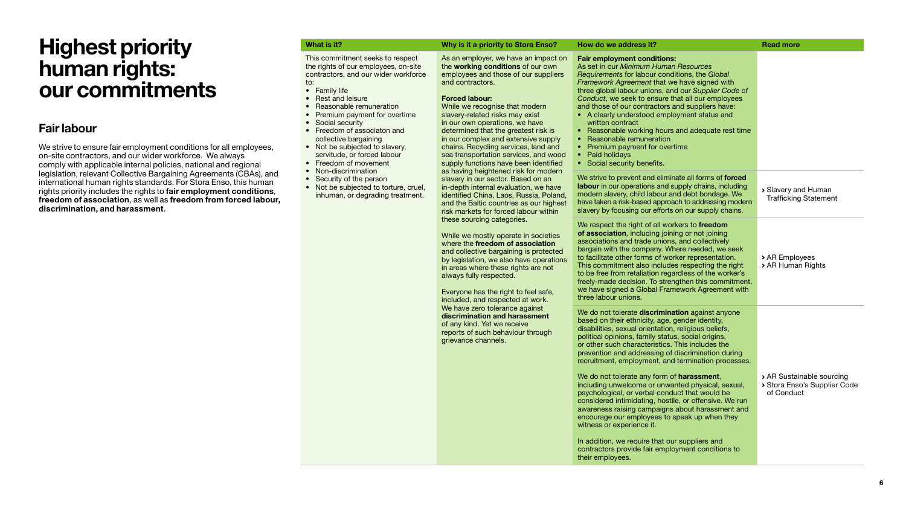### Fair labour

We strive to ensure fair employment conditions for all employees, on-site contractors, and our wider workforce. We always comply with applicable internal policies, national and regional legislation, relevant Collective Bargaining Agreements (CBAs), and international human rights standards. For Stora Enso, this human rights priority includes the rights to fair employment conditions. freedom of association, as well as freedom from forced labour, discrimination, and harassment.

What is it? Nead more why is it a priority to Stora Enso? How do we address it? Read more This commitment seeks to respect the rights of our employees, on-site contractors, and our wider workforce to: • Family life • Rest and leisure • Reasonable remuneration • Premium payment for overtime • Social security • Freedom of associaton and collective bargaining • Not be subjected to slavery, servitude, or forced labour • Freedom of movement • Non-discrimination • Security of the person • Not be subjected to torture, cruel, inhuman, or degrading treatment. As an employer, we have an impact on the working conditions of our own employees and those of our suppliers and contractors. Forced labour: While we recognise that modern slavery-related risks may exist in our own operations, we have determined that the greatest risk is in our complex and extensive supply chains. Recycling services, land and sea transportation services, and wood supply functions have been identified as having heightened risk for modern slavery in our sector. Based on an in-depth internal evaluation, we have identified China, Laos, Russia, Poland, and the Baltic countries as our highest risk markets for forced labour within these sourcing categories. While we mostly operate in societies where the freedom of association and collective bargaining is protected by legislation, we also have operations in areas where these rights are not always fully respected. Everyone has the right to feel safe. included, and respected at work. We have zero tolerance against discrimination and harassment of any kind. Yet we receive reports of such behaviour through Fair employment conditions: As set in our *Minimum Human Resources Requirements* for labour conditions, the *Global Framework Agreement* that we have signed with three global labour unions, and our *Supplier Code of Conduct*, we seek to ensure that all our employees and those of our contractors and suppliers have: • A clearly understood employment status and written contract • Reasonable working hours and adequate rest time • Reasonable remuneration • Premium payment for overtime • Paid holidays • Social security benefits. We strive to prevent and eliminate all forms of **forced** labour in our operations and supply chains, including modern slavery, child labour and debt bondage. We have taken a risk-based approach to addressing modern slavery by focusing our efforts on our supply chains. Slavery and Human [Trafficking Statement](https://www.storaenso.com/-/media/documents/download-center/documents/sustainability/slavery-and-human-trafficking-statement-2020.pdf) We respect the right of all workers to **freedom** of association, including joining or not joining associations and trade unions, and collectively bargain with the company. Where needed, we seek to facilitate other forms of worker representation. This commitment also includes respecting the right to be free from retaliation regardless of the worker's freely-made decision. To strengthen this commitment, we have signed a Global Framework Agreement with three labour unions. [AR Employees](https://www.storaenso.com/-/media/Documents/Download-center/Documents/Annual-reports/2021/STORAENSO_Annual_Report_2021.pdf#page=146) [AR Human Rights](https://www.storaenso.com/-/media/Documents/Download-center/Documents/Annual-reports/2021/STORAENSO_Annual_Report_2021.pdf#page=152) We do not tolerate **discrimination** against anyone based on their ethnicity, age, gender identity, disabilities, sexual orientation, religious beliefs,

political opinions, family status, social origins, or other such characteristics. This includes the prevention and addressing of discrimination during recruitment, employment, and termination processes.

We do not tolerate any form of **harassment**. including unwelcome or unwanted physical, sexual, psychological, or verbal conduct that would be considered intimidating, hostile, or offensive. We run awareness raising campaigns about harassment and encourage our employees to speak up when they

In addition, we require that our suppliers and contractors provide fair employment conditions to

witness or experience it.

their employees.

grievance channels.

6

[AR Sustainable sourcing](https://www.storaenso.com/-/media/Documents/Download-center/Documents/Annual-reports/2021/STORAENSO_Annual_Report_2021.pdf#page=156) [Stora Enso's Supplier Code](https://www.storaenso.com/-/media/documents/download-center/documents/suppliers/scoc-2021/stora-enso_supplier-code-of-conduct_2021_v1.pdf)

of Conduct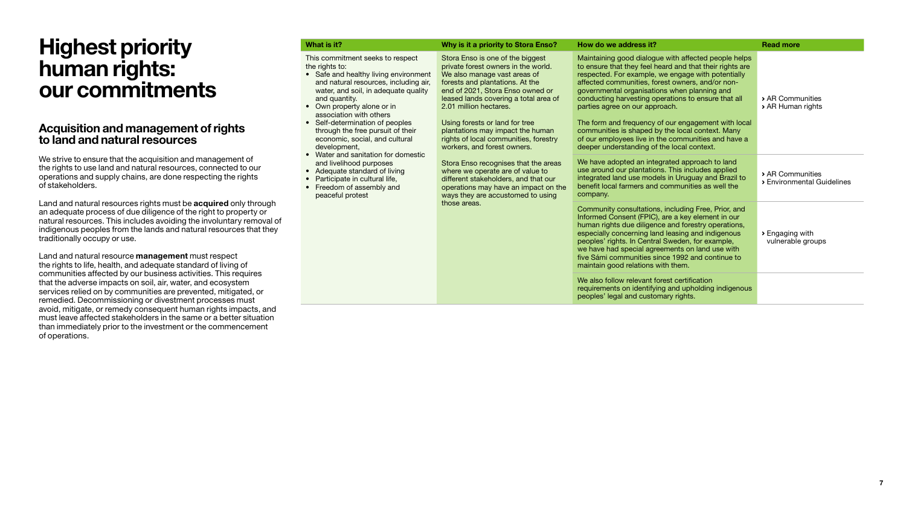### Acquisition and management of rights to land and natural resources

We strive to ensure that the acquisition and management of the rights to use land and natural resources, connected to our operations and supply chains, are done respecting the rights of stakeholders.

Land and natural resources rights must be **acquired** only through an adequate process of due diligence of the right to property or natural resources. This includes avoiding the involuntary removal of indigenous peoples from the lands and natural resources that they traditionally occupy or use.

Land and natural resource **management** must respect the rights to life, health, and adequate standard of living of communities affected by our business activities. This requires that the adverse impacts on soil, air, water, and ecosystem services relied on by communities are prevented, mitigated, or remedied. Decommissioning or divestment processes must avoid, mitigate, or remedy consequent human rights impacts, and must leave affected stakeholders in the same or a better situation than immediately prior to the investment or the commencement of operations.

| What is it?                                                                                                                                                                                                                                                                                                                                                                      | Why is it a priority to Stora Enso?                                                                                                                                                                                                                                                                                                                                                                                                                                                                                                                                                                              | How do we address it?                                                                                                                                                                                                                                                                                                                                                                                                                                                                                                                                                               | <b>Read more</b>                                 |
|----------------------------------------------------------------------------------------------------------------------------------------------------------------------------------------------------------------------------------------------------------------------------------------------------------------------------------------------------------------------------------|------------------------------------------------------------------------------------------------------------------------------------------------------------------------------------------------------------------------------------------------------------------------------------------------------------------------------------------------------------------------------------------------------------------------------------------------------------------------------------------------------------------------------------------------------------------------------------------------------------------|-------------------------------------------------------------------------------------------------------------------------------------------------------------------------------------------------------------------------------------------------------------------------------------------------------------------------------------------------------------------------------------------------------------------------------------------------------------------------------------------------------------------------------------------------------------------------------------|--------------------------------------------------|
| This commitment seeks to respect<br>the rights to:<br>• Safe and healthy living environment<br>and natural resources, including air,<br>water, and soil, in adequate quality<br>and quantity.<br>• Own property alone or in<br>association with others<br>• Self-determination of peoples<br>through the free pursuit of their<br>economic, social, and cultural<br>development, | Stora Enso is one of the biggest<br>private forest owners in the world.<br>We also manage vast areas of<br>forests and plantations. At the<br>end of 2021, Stora Enso owned or<br>leased lands covering a total area of<br>2.01 million hectares.<br>Using forests or land for tree<br>plantations may impact the human<br>rights of local communities, forestry<br>workers, and forest owners.<br>Stora Enso recognises that the areas<br>where we operate are of value to<br>different stakeholders, and that our<br>operations may have an impact on the<br>ways they are accustomed to using<br>those areas. | Maintaining good dialogue with affected people helps<br>to ensure that they feel heard and that their rights are<br>respected. For example, we engage with potentially<br>affected communities, forest owners, and/or non-<br>governmental organisations when planning and<br>conducting harvesting operations to ensure that all<br>parties agree on our approach.<br>The form and frequency of our engagement with local<br>communities is shaped by the local context. Many<br>of our employees live in the communities and have a<br>deeper understanding of the local context. | > AR Communities<br>> AR Human rights            |
| • Water and sanitation for domestic<br>and livelihood purposes<br>• Adequate standard of living<br>Participate in cultural life,<br>$\bullet$<br>Freedom of assembly and<br>$\bullet$<br>peaceful protest                                                                                                                                                                        |                                                                                                                                                                                                                                                                                                                                                                                                                                                                                                                                                                                                                  | We have adopted an integrated approach to land<br>use around our plantations. This includes applied<br>integrated land use models in Uruguay and Brazil to<br>benefit local farmers and communities as well the<br>company.                                                                                                                                                                                                                                                                                                                                                         | > AR Communities<br>> Environmental Guidelines   |
|                                                                                                                                                                                                                                                                                                                                                                                  |                                                                                                                                                                                                                                                                                                                                                                                                                                                                                                                                                                                                                  | Community consultations, including Free, Prior, and<br>Informed Consent (FPIC), are a key element in our<br>human rights due diligence and forestry operations,<br>especially concerning land leasing and indigenous<br>peoples' rights. In Central Sweden, for example,<br>we have had special agreements on land use with<br>five Sámi communities since 1992 and continue to<br>maintain good relations with them.                                                                                                                                                               | $\rightarrow$ Engaging with<br>vulnerable groups |
|                                                                                                                                                                                                                                                                                                                                                                                  |                                                                                                                                                                                                                                                                                                                                                                                                                                                                                                                                                                                                                  | We also follow relevant forest certification<br>requirements on identifying and upholding indigenous<br>peoples' legal and customary rights.                                                                                                                                                                                                                                                                                                                                                                                                                                        |                                                  |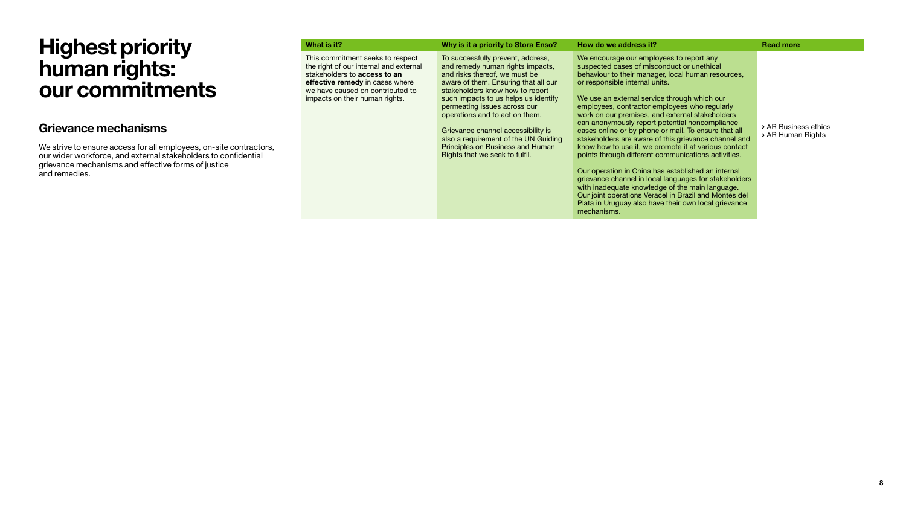### Grievance mechanisms

We strive to ensure access for all employees, on-site contractors, our wider workforce, and external stakeholders to confidential grievance mechanisms and effective forms of justice and remedies.

|                     | What is it?                                                                                                                                                                                                         | Why is it a priority to Stora Enso?                                                                                                                                                                                                                                                                                                                                                                                                             | How do we address it?                                                                                                                                                                                                                                                                                                                                                                                                                                                                                                                                                                                                                                                                                                                                                                                                                                                                                                 | <b>Read more</b>                          |
|---------------------|---------------------------------------------------------------------------------------------------------------------------------------------------------------------------------------------------------------------|-------------------------------------------------------------------------------------------------------------------------------------------------------------------------------------------------------------------------------------------------------------------------------------------------------------------------------------------------------------------------------------------------------------------------------------------------|-----------------------------------------------------------------------------------------------------------------------------------------------------------------------------------------------------------------------------------------------------------------------------------------------------------------------------------------------------------------------------------------------------------------------------------------------------------------------------------------------------------------------------------------------------------------------------------------------------------------------------------------------------------------------------------------------------------------------------------------------------------------------------------------------------------------------------------------------------------------------------------------------------------------------|-------------------------------------------|
| tractors,<br>ential | This commitment seeks to respect<br>the right of our internal and external<br>stakeholders to access to an<br>effective remedy in cases where<br>we have caused on contributed to<br>impacts on their human rights. | To successfully prevent, address,<br>and remedy human rights impacts,<br>and risks thereof, we must be<br>aware of them. Ensuring that all our<br>stakeholders know how to report<br>such impacts to us helps us identify<br>permeating issues across our<br>operations and to act on them.<br>Grievance channel accessibility is<br>also a requirement of the UN Guiding<br>Principles on Business and Human<br>Rights that we seek to fulfil. | We encourage our employees to report any<br>suspected cases of misconduct or unethical<br>behaviour to their manager, local human resources,<br>or responsible internal units.<br>We use an external service through which our<br>employees, contractor employees who regularly<br>work on our premises, and external stakeholders<br>can anonymously report potential noncompliance<br>cases online or by phone or mail. To ensure that all<br>stakeholders are aware of this grievance channel and<br>know how to use it, we promote it at various contact<br>points through different communications activities.<br>Our operation in China has established an internal<br>grievance channel in local languages for stakeholders<br>with inadequate knowledge of the main language.<br>Our joint operations Veracel in Brazil and Montes del<br>Plata in Uruguay also have their own local grievance<br>mechanisms. | > AR Business ethics<br>> AR Human Rights |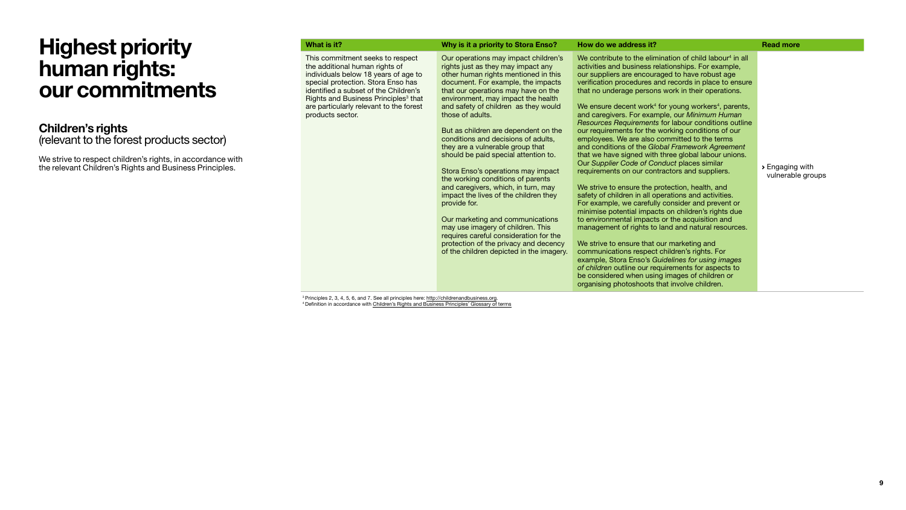### Children's rights

(relevant to the forest products sector)

We strive to respect children's rights, in accordance with the relevant Children's Rights and Business Principles.

| What is it?                                                                                                                                                                                                                                                                                                  | Why is it a priority to Stora Enso?                                                                                                                                                                                                                                                                                                                                                                                                                                                                                                                                                                                                                                                                                                                                                                                                             | How do we address it?                                                                                                                                                                                                                                                                                                                                                                                                                                                                                                                                                                                                                                                                                                                                                                                                                                                                                                                                                                                                                                                                                                                                                                                                                                                                                                                                                                                      | <b>Read more</b>                                    |
|--------------------------------------------------------------------------------------------------------------------------------------------------------------------------------------------------------------------------------------------------------------------------------------------------------------|-------------------------------------------------------------------------------------------------------------------------------------------------------------------------------------------------------------------------------------------------------------------------------------------------------------------------------------------------------------------------------------------------------------------------------------------------------------------------------------------------------------------------------------------------------------------------------------------------------------------------------------------------------------------------------------------------------------------------------------------------------------------------------------------------------------------------------------------------|------------------------------------------------------------------------------------------------------------------------------------------------------------------------------------------------------------------------------------------------------------------------------------------------------------------------------------------------------------------------------------------------------------------------------------------------------------------------------------------------------------------------------------------------------------------------------------------------------------------------------------------------------------------------------------------------------------------------------------------------------------------------------------------------------------------------------------------------------------------------------------------------------------------------------------------------------------------------------------------------------------------------------------------------------------------------------------------------------------------------------------------------------------------------------------------------------------------------------------------------------------------------------------------------------------------------------------------------------------------------------------------------------------|-----------------------------------------------------|
| This commitment seeks to respect<br>the additional human rights of<br>individuals below 18 years of age to<br>special protection. Stora Enso has<br>identified a subset of the Children's<br>Rights and Business Principles <sup>3</sup> that<br>are particularly relevant to the forest<br>products sector. | Our operations may impact children's<br>rights just as they may impact any<br>other human rights mentioned in this<br>document. For example, the impacts<br>that our operations may have on the<br>environment, may impact the health<br>and safety of children as they would<br>those of adults.<br>But as children are dependent on the<br>conditions and decisions of adults,<br>they are a vulnerable group that<br>should be paid special attention to.<br>Stora Enso's operations may impact<br>the working conditions of parents<br>and caregivers, which, in turn, may<br>impact the lives of the children they<br>provide for.<br>Our marketing and communications<br>may use imagery of children. This<br>requires careful consideration for the<br>protection of the privacy and decency<br>of the children depicted in the imagery. | We contribute to the elimination of child labour <sup>4</sup> in all<br>activities and business relationships. For example,<br>our suppliers are encouraged to have robust age<br>verification procedures and records in place to ensure<br>that no underage persons work in their operations.<br>We ensure decent work <sup>4</sup> for young workers <sup>4</sup> , parents,<br>and caregivers. For example, our Minimum Human<br>Resources Requirements for labour conditions outline<br>our requirements for the working conditions of our<br>employees. We are also committed to the terms<br>and conditions of the Global Framework Agreement<br>that we have signed with three global labour unions.<br>Our Supplier Code of Conduct places similar<br>requirements on our contractors and suppliers.<br>We strive to ensure the protection, health, and<br>safety of children in all operations and activities.<br>For example, we carefully consider and prevent or<br>minimise potential impacts on children's rights due<br>to environmental impacts or the acquisition and<br>management of rights to land and natural resources.<br>We strive to ensure that our marketing and<br>communications respect children's rights. For<br>example, Stora Enso's Guidelines for using images<br>of children outline our requirements for aspects to<br>be considered when using images of children or | $\triangleright$ Engaging with<br>vulnerable groups |

organising photoshoots that involve children.

<sup>3</sup> Principles 2, 3, 4, 5, 6, and 7. See all principles here: http://childrenandbusiness.org.<br><sup>4</sup> Definition in accordance with [Children's Rights and Business Principles' Glossary of terms](http://childrenandbusiness.org/the-principles/glossary/)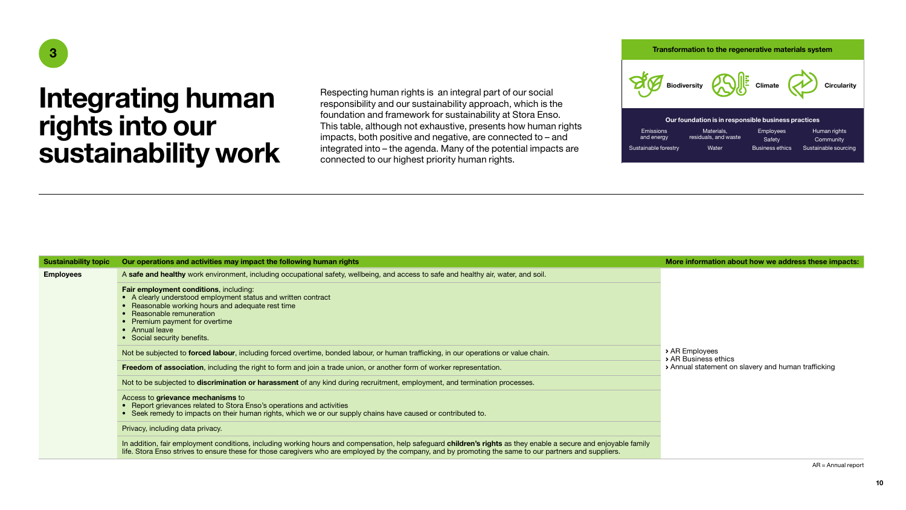## Integrating human rights into our sustainability work

Respecting human rights is an integral part of our social responsibility and our sustainability approach, which is the foundation and framework for sustainability at Stora Enso. This table, although not exhaustive, presents how human rights impacts, both positive and negative, are connected to – and integrated into – the agenda. Many of the potential impacts are connected to our highest priority human rights.

<span id="page-10-0"></span>



Human rights **Community** Sustainable sourcing Emissions and energy Sustainable forestry Materials, residuals, and waste **Water** Employees **Safety** Business ethics Our foundation is in responsible business practices

| <b>Sustainability topic</b> |                                                                                                                                                                                                                                                                                                                                                                                                                                                                                            | More information about how we address these impacts. |
|-----------------------------|--------------------------------------------------------------------------------------------------------------------------------------------------------------------------------------------------------------------------------------------------------------------------------------------------------------------------------------------------------------------------------------------------------------------------------------------------------------------------------------------|------------------------------------------------------|
| <b>Employees</b>            | Our operations and activities may impact the following human rights<br>A safe and healthy work environment, including occupational safety, wellbeing, and access to safe and healthy air, water, and soil.<br>Fair employment conditions, including:<br>• A clearly understood employment status and written contract<br>• Reasonable working hours and adequate rest time<br>• Reasonable remuneration<br>• Premium payment for overtime<br>• Annual leave<br>• Social security benefits. | > AR Employees<br>> AR Business ethics               |
|                             | Not be subjected to forced labour, including forced overtime, bonded labour, or human trafficking, in our operations or value chain.                                                                                                                                                                                                                                                                                                                                                       |                                                      |
|                             | Freedom of association, including the right to form and join a trade union, or another form of worker representation.                                                                                                                                                                                                                                                                                                                                                                      | > Annual statement on slavery and human trafficking  |
|                             | Not to be subjected to <b>discrimination or harassment</b> of any kind during recruitment, employment, and termination processes.                                                                                                                                                                                                                                                                                                                                                          |                                                      |
|                             | Access to grievance mechanisms to<br>• Report grievances related to Stora Enso's operations and activities<br>• Seek remedy to impacts on their human rights, which we or our supply chains have caused or contributed to.                                                                                                                                                                                                                                                                 |                                                      |
|                             | Privacy, including data privacy.                                                                                                                                                                                                                                                                                                                                                                                                                                                           |                                                      |
|                             | In addition, fair employment conditions, including working hours and compensation, help safeguard children's rights as they enable a secure and enjoyable family<br>life. Stora Enso strives to ensure these for those caregivers who are employed by the company, and by promoting the same to our partners and suppliers.                                                                                                                                                                |                                                      |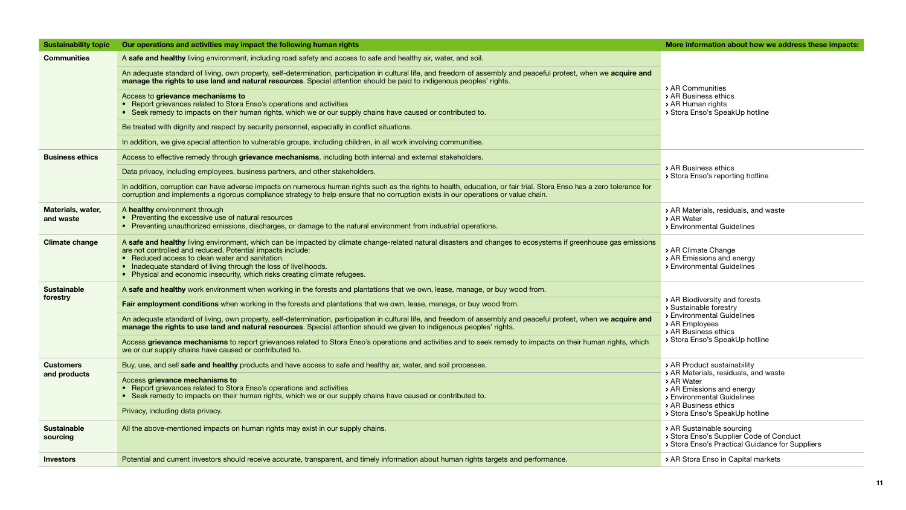| <b>Sustainability topic</b>    | Our operations and activities may impact the following human rights                                                                                                                                                                                                                                                                                                                                                               | More information about how we address these impacts:                                                                    |  |
|--------------------------------|-----------------------------------------------------------------------------------------------------------------------------------------------------------------------------------------------------------------------------------------------------------------------------------------------------------------------------------------------------------------------------------------------------------------------------------|-------------------------------------------------------------------------------------------------------------------------|--|
| <b>Communities</b>             | A safe and healthy living environment, including road safety and access to safe and healthy air, water, and soil.                                                                                                                                                                                                                                                                                                                 |                                                                                                                         |  |
|                                | An adequate standard of living, own property, self-determination, participation in cultural life, and freedom of assembly and peaceful protest, when we acquire and<br>manage the rights to use land and natural resources. Special attention should be paid to indigenous peoples' rights.<br>> AR Communities                                                                                                                   |                                                                                                                         |  |
|                                | Access to grievance mechanisms to<br>• Report grievances related to Stora Enso's operations and activities<br>• Seek remedy to impacts on their human rights, which we or our supply chains have caused or contributed to.                                                                                                                                                                                                        | > AR Business ethics<br>> AR Human rights<br>> Stora Enso's SpeakUp hotline                                             |  |
|                                | Be treated with dignity and respect by security personnel, especially in conflict situations.                                                                                                                                                                                                                                                                                                                                     |                                                                                                                         |  |
|                                | In addition, we give special attention to vulnerable groups, including children, in all work involving communities.                                                                                                                                                                                                                                                                                                               |                                                                                                                         |  |
| <b>Business ethics</b>         | Access to effective remedy through <b>grievance mechanisms</b> , including both internal and external stakeholders.                                                                                                                                                                                                                                                                                                               |                                                                                                                         |  |
|                                | Data privacy, including employees, business partners, and other stakeholders.                                                                                                                                                                                                                                                                                                                                                     | > AR Business ethics<br>> Stora Enso's reporting hotline                                                                |  |
|                                | In addition, corruption can have adverse impacts on numerous human rights such as the rights to health, education, or fair trial. Stora Enso has a zero tolerance for<br>corruption and implements a rigorous compliance strategy to help ensure that no corruption exists in our operations or value chain.                                                                                                                      |                                                                                                                         |  |
| Materials, water,<br>and waste | A healthy environment through<br>• Preventing the excessive use of natural resources<br>• Preventing unauthorized emissions, discharges, or damage to the natural environment from industrial operations.                                                                                                                                                                                                                         | > AR Materials, residuals, and waste<br>> AR Water<br>> Environmental Guidelines                                        |  |
| <b>Climate change</b>          | A safe and healthy living environment, which can be impacted by climate change-related natural disasters and changes to ecosystems if greenhouse gas emissions<br>are not controlled and reduced. Potential impacts include:<br>• Reduced access to clean water and sanitation.<br>• Inadequate standard of living through the loss of livelihoods.<br>• Physical and economic insecurity, which risks creating climate refugees. | > AR Climate Change<br>> AR Emissions and energy<br>> Environmental Guidelines                                          |  |
| <b>Sustainable</b>             | A safe and healthy work environment when working in the forests and plantations that we own, lease, manage, or buy wood from.                                                                                                                                                                                                                                                                                                     |                                                                                                                         |  |
| forestry                       | Fair employment conditions when working in the forests and plantations that we own, lease, manage, or buy wood from.                                                                                                                                                                                                                                                                                                              | > AR Biodiversity and forests<br>> Sustainable forestry                                                                 |  |
|                                | An adequate standard of living, own property, self-determination, participation in cultural life, and freedom of assembly and peaceful protest, when we acquire and<br>manage the rights to use land and natural resources. Special attention should we given to indigenous peoples' rights.                                                                                                                                      | > Environmental Guidelines<br>> AR Employees<br>> AR Business ethics                                                    |  |
|                                | Access grievance mechanisms to report grievances related to Stora Enso's operations and activities and to seek remedy to impacts on their human rights, which<br>we or our supply chains have caused or contributed to.                                                                                                                                                                                                           | > Stora Enso's SpeakUp hotline                                                                                          |  |
| <b>Customers</b>               | Buy, use, and sell <b>safe and healthy</b> products and have access to safe and healthy air, water, and soil processes.                                                                                                                                                                                                                                                                                                           | > AR Product sustainability<br>> AR Materials, residuals, and waste                                                     |  |
| and products                   | Access grievance mechanisms to<br>• Report grievances related to Stora Enso's operations and activities<br>• Seek remedy to impacts on their human rights, which we or our supply chains have caused or contributed to.                                                                                                                                                                                                           | > AR Water<br>> AR Emissions and energy<br>> Environmental Guidelines<br>> AR Business ethics                           |  |
|                                | Privacy, including data privacy.                                                                                                                                                                                                                                                                                                                                                                                                  | > Stora Enso's SpeakUp hotline                                                                                          |  |
| <b>Sustainable</b><br>sourcing | All the above-mentioned impacts on human rights may exist in our supply chains.                                                                                                                                                                                                                                                                                                                                                   | > AR Sustainable sourcing<br>> Stora Enso's Supplier Code of Conduct<br>> Stora Enso's Practical Guidance for Suppliers |  |
| <b>Investors</b>               | Potential and current investors should receive accurate, transparent, and timely information about human rights targets and performance.                                                                                                                                                                                                                                                                                          | > AR Stora Enso in Capital markets                                                                                      |  |